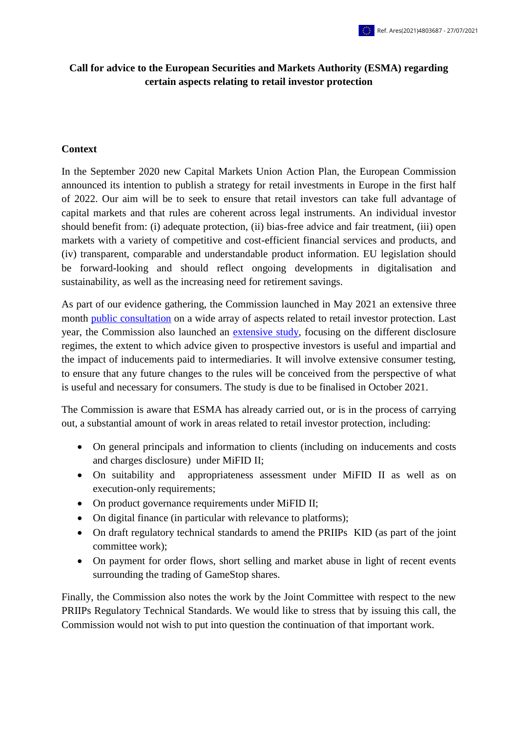# **Call for advice to the European Securities and Markets Authority (ESMA) regarding certain aspects relating to retail investor protection**

#### **Context**

In the September 2020 new Capital Markets Union Action Plan, the European Commission announced its intention to publish a strategy for retail investments in Europe in the first half of 2022. Our aim will be to seek to ensure that retail investors can take full advantage of capital markets and that rules are coherent across legal instruments. An individual investor should benefit from: (i) adequate protection, (ii) bias-free advice and fair treatment, (iii) open markets with a variety of competitive and cost-efficient financial services and products, and (iv) transparent, comparable and understandable product information. EU legislation should be forward-looking and should reflect ongoing developments in digitalisation and sustainability, as well as the increasing need for retirement savings.

As part of our evidence gathering, the Commission launched in May 2021 an extensive three month [public consultation](https://ec.europa.eu/eusurvey/runner/retail-investment-strategy-2021?surveylanguage=en) on a wide array of aspects related to retail investor protection. Last year, the Commission also launched an [extensive study,](https://etendering.ted.europa.eu/cft/cft-display.html?cftId=5959) focusing on the different disclosure regimes, the extent to which advice given to prospective investors is useful and impartial and the impact of inducements paid to intermediaries. It will involve extensive consumer testing, to ensure that any future changes to the rules will be conceived from the perspective of what is useful and necessary for consumers. The study is due to be finalised in October 2021.

The Commission is aware that ESMA has already carried out, or is in the process of carrying out, a substantial amount of work in areas related to retail investor protection, including:

- On general principals and information to clients (including on inducements and costs and charges disclosure) under MiFID II;
- On suitability and appropriateness assessment under MiFID II as well as on execution-only requirements;
- On product governance requirements under MiFID II;
- On digital finance (in particular with relevance to platforms);
- On draft regulatory technical standards to amend the PRIIPs KID (as part of the joint committee work);
- On payment for order flows, short selling and market abuse in light of recent events surrounding the trading of GameStop shares.

Finally, the Commission also notes the work by the Joint Committee with respect to the new PRIIPs Regulatory Technical Standards. We would like to stress that by issuing this call, the Commission would not wish to put into question the continuation of that important work.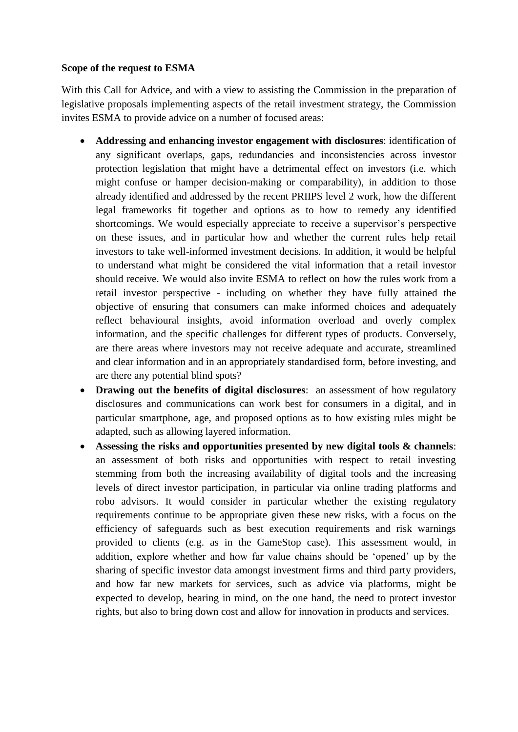### **Scope of the request to ESMA**

With this Call for Advice, and with a view to assisting the Commission in the preparation of legislative proposals implementing aspects of the retail investment strategy, the Commission invites ESMA to provide advice on a number of focused areas:

- **Addressing and enhancing investor engagement with disclosures**: identification of any significant overlaps, gaps, redundancies and inconsistencies across investor protection legislation that might have a detrimental effect on investors (i.e. which might confuse or hamper decision-making or comparability), in addition to those already identified and addressed by the recent PRIIPS level 2 work, how the different legal frameworks fit together and options as to how to remedy any identified shortcomings. We would especially appreciate to receive a supervisor's perspective on these issues, and in particular how and whether the current rules help retail investors to take well-informed investment decisions. In addition, it would be helpful to understand what might be considered the vital information that a retail investor should receive. We would also invite ESMA to reflect on how the rules work from a retail investor perspective - including on whether they have fully attained the objective of ensuring that consumers can make informed choices and adequately reflect behavioural insights, avoid information overload and overly complex information, and the specific challenges for different types of products. Conversely, are there areas where investors may not receive adequate and accurate, streamlined and clear information and in an appropriately standardised form, before investing, and are there any potential blind spots?
- **Drawing out the benefits of digital disclosures:** an assessment of how regulatory disclosures and communications can work best for consumers in a digital, and in particular smartphone, age, and proposed options as to how existing rules might be adapted, such as allowing layered information.
- **Assessing the risks and opportunities presented by new digital tools & channels**: an assessment of both risks and opportunities with respect to retail investing stemming from both the increasing availability of digital tools and the increasing levels of direct investor participation, in particular via online trading platforms and robo advisors. It would consider in particular whether the existing regulatory requirements continue to be appropriate given these new risks, with a focus on the efficiency of safeguards such as best execution requirements and risk warnings provided to clients (e.g. as in the GameStop case). This assessment would, in addition, explore whether and how far value chains should be 'opened' up by the sharing of specific investor data amongst investment firms and third party providers, and how far new markets for services, such as advice via platforms, might be expected to develop, bearing in mind, on the one hand, the need to protect investor rights, but also to bring down cost and allow for innovation in products and services.